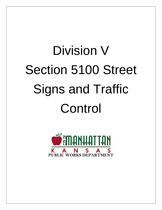# Division V Section 5100 Street Signs and Traffic Control

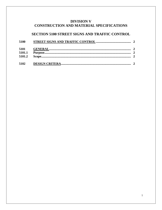# **DIVISION V** CONSTRUCTION AND MATERIAL SPECIFICATIONS

# SECTION 5100 STREET SIGNS AND TRAFFIC CONTROL

| 5100   |  |  |
|--------|--|--|
|        |  |  |
| 5101.1 |  |  |
| 5101.2 |  |  |
| 5102   |  |  |